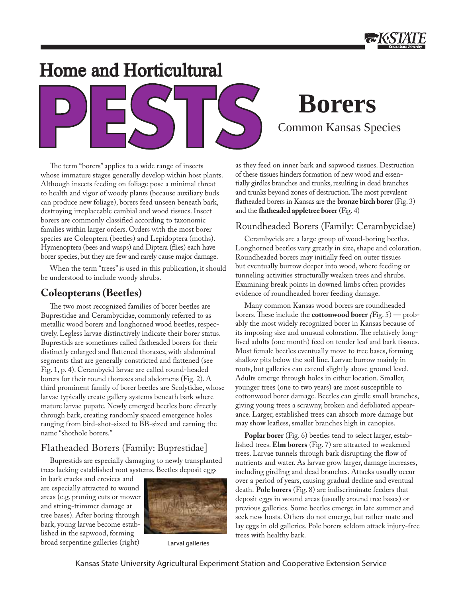# Home and Horticultural



# Common Kansas Species **Borers**

The term "borers" applies to a wide range of insects whose immature stages generally develop within host plants. Although insects feeding on foliage pose a minimal threat to health and vigor of woody plants (because auxiliary buds can produce new foliage), borers feed unseen beneath bark, destroying irreplaceable cambial and wood tissues. Insect borers are commonly classified according to taxonomic families within larger orders. Orders with the most borer species are Coleoptera (beetles) and Lepidoptera (moths). Hymenoptera (bees and wasps) and Diptera (flies) each have borer species, but they are few and rarely cause major damage.

When the term "trees" is used in this publication, it should be understood to include woody shrubs.

# **Coleopterans (Beetles)**

The two most recognized families of borer beetles are Buprestidae and Cerambycidae, commonly referred to as metallic wood borers and longhorned wood beetles, respectively. Legless larvae distinctively indicate their borer status. Buprestids are sometimes called flatheaded borers for their distinctly enlarged and flattened thoraxes, with abdominal segments that are generally constricted and flattened (see Fig. 1, p. 4). Cerambycid larvae are called round-headed borers for their round thoraxes and abdomens (Fig. 2). A third prominent family of borer beetles are Scolytidae, whose larvae typically create gallery systems beneath bark where mature larvae pupate. Newly emerged beetles bore directly through bark, creating randomly spaced emergence holes ranging from bird-shot-sized to BB-sized and earning the name "shothole borers."

# Flatheaded Borers (Family: Buprestidae]

Buprestids are especially damaging to newly transplanted trees lacking established root systems. Beetles deposit eggs

in bark cracks and crevices and are especially attracted to wound areas (e.g. pruning cuts or mower and string-trimmer damage at tree bases). After boring through bark, young larvae become established in the sapwood, forming broad serpentine galleries (right) Larval galleries



as they feed on inner bark and sapwood tissues. Destruction of these tissues hinders formation of new wood and essentially girdles branches and trunks, resulting in dead branches and trunks beyond zones of destruction. The most prevalent flatheaded borers in Kansas are the **bronze birch borer** (Fig. 3) and the **flatheaded appletree borer** (Fig. 4)

# Roundheaded Borers (Family: Cerambycidae)

Cerambycids are a large group of wood-boring beetles. Longhorned beetles vary greatly in size, shape and coloration. Roundheaded borers may initially feed on outer tissues but eventually burrow deeper into wood, where feeding or tunneling activities structurally weaken trees and shrubs. Examining break points in downed limbs often provides evidence of roundheaded borer feeding damage.

Many common Kansas wood borers are roundheaded borers. These include the **cottonwood borer** *(*Fig. 5) — probably the most widely recognized borer in Kansas because of its imposing size and unusual coloration. The relatively longlived adults (one month) feed on tender leaf and bark tissues. Most female beetles eventually move to tree bases, forming shallow pits below the soil line. Larvae burrow mainly in roots, but galleries can extend slightly above ground level. Adults emerge through holes in either location. Smaller, younger trees (one to two years) are most susceptible to cottonwood borer damage. Beetles can girdle small branches, giving young trees a scrawny, broken and defoliated appearance. Larger, established trees can absorb more damage but may show leafless, smaller branches high in canopies.

**Poplar borer** (Fig. 6) beetles tend to select larger, established trees. **Elm borers** (Fig. 7) are attracted to weakened trees. Larvae tunnels through bark disrupting the flow of nutrients and water. As larvae grow larger, damage increases, including girdling and dead branches. Attacks usually occur over a period of years, causing gradual decline and eventual death. **Pole borers** (Fig. 8) are indiscriminate feeders that deposit eggs in wound areas (usually around tree bases) or previous galleries. Some beetles emerge in late summer and seek new hosts. Others do not emerge, but rather mate and lay eggs in old galleries. Pole borers seldom attack injury-free trees with healthy bark.

Kansas State University Agricultural Experiment Station and Cooperative Extension Service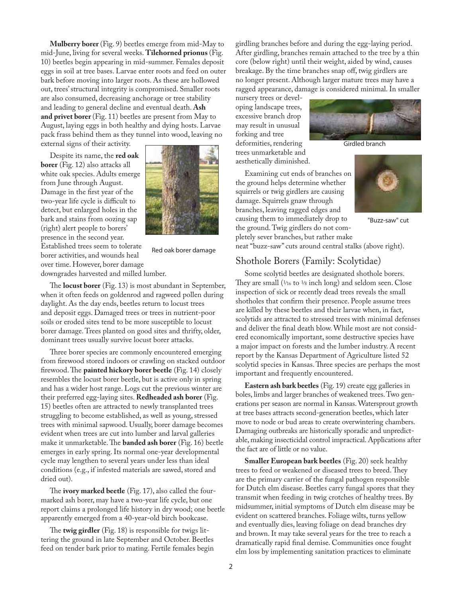**Mulberry borer** (Fig. 9) beetles emerge from mid-May to mid-June, living for several weeks. **Tilehorned prionus** (Fig. 10) beetles begin appearing in mid-summer. Females deposit eggs in soil at tree bases. Larvae enter roots and feed on outer bark before moving into larger roots. As these are hollowed out, trees' structural integrity is compromised. Smaller roots are also consumed, decreasing anchorage or tree stability and leading to general decline and eventual death. **Ash**  and privet borer (Fig. 11) beetles are present from May to August, laying eggs in both healthy and dying hosts. Larvae pack frass behind them as they tunnel into wood, leaving no external signs of their activity.

Despite its name, the **red oak borer** (Fig. 12) also attacks all white oak species. Adults emerge from June through August. Damage in the first year of the two-year life cycle is difficult to detect, but enlarged holes in the bark and stains from oozing sap (right) alert people to borers' presence in the second year. Established trees seem to tolerate borer activities, and wounds heal over time. However, borer damage



Red oak borer damage

downgrades harvested and milled lumber.

The **locust borer** (Fig. 13) is most abundant in September, when it often feeds on goldenrod and ragweed pollen during daylight. As the day ends, beetles return to locust trees and deposit eggs. Damaged trees or trees in nutrient-poor soils or eroded sites tend to be more susceptible to locust borer damage. Trees planted on good sites and thrifty, older, dominant trees usually survive locust borer attacks.

Three borer species are commonly encountered emerging from firewood stored indoors or crawling on stacked outdoor firewood. The **painted hickory borer beetle** (Fig. 14) closely resembles the locust borer beetle, but is active only in spring and has a wider host range. Logs cut the previous winter are their preferred egg-laying sites. **Redheaded ash borer** (Fig. 15) beetles often are attracted to newly transplanted trees struggling to become established, as well as young, stressed trees with minimal sapwood. Usually, borer damage becomes evident when trees are cut into lumber and larval galleries make it unmarketable. The **banded ash borer** (Fig. 16) beetle emerges in early spring. Its normal one-year developmental cycle may lengthen to several years under less than ideal conditions (e.g., if infested materials are sawed, stored and dried out).

The **ivory marked beetle** (Fig. 17), also called the fourmarked ash borer, may have a two-year life cycle, but one report claims a prolonged life history in dry wood; one beetle apparently emerged from a 40-year-old birch bookcase.

The **twig girdler** (Fig. 18) is responsible for twigs littering the ground in late September and October. Beetles feed on tender bark prior to mating. Fertile females begin girdling branches before and during the egg-laying period. After girdling, branches remain attached to the tree by a thin core (below right) until their weight, aided by wind, causes breakage. By the time branches snap off, twig girdlers are no longer present. Although larger mature trees may have a ragged appearance, damage is considered minimal. In smaller

nursery trees or developing landscape trees, excessive branch drop may result in unusual forking and tree deformities, rendering

trees unmarketable and aesthetically diminished.

Examining cut ends of branches on the ground helps determine whether squirrels or twig girdlers are causing damage. Squirrels gnaw through branches, leaving ragged edges and causing them to immediately drop to the ground. Twig girdlers do not completely sever branches, but rather make

"Buzz-saw" cut

neat "buzz-saw" cuts around central stalks (above right).

#### Shothole Borers (Family: Scolytidae)

Some scolytid beetles are designated shothole borers. They are small  $(1/16 \text{ to } 1/8 \text{ inch long})$  and seldom seen. Close inspection of sick or recently dead trees reveals the small shotholes that confirm their presence. People assume trees are killed by these beetles and their larvae when, in fact, scolytids are attracted to stressed trees with minimal defenses and deliver the final death blow. While most are not considered economically important, some destructive species have a major impact on forests and the lumber industry. A recent report by the Kansas Department of Agriculture listed 52 scolytid species in Kansas. Three species are perhaps the most important and frequently encountered.

**Eastern ash bark beetles** (Fig. 19) create egg galleries in boles, limbs and larger branches of weakened trees. Two generations per season are normal in Kansas. Watersprout growth at tree bases attracts second-generation beetles, which later move to node or bud areas to create overwintering chambers. Damaging outbreaks are historically sporadic and unpredictable, making insecticidal control impractical. Applications after the fact are of little or no value.

**Smaller European bark beetles** (Fig. 20) seek healthy trees to feed or weakened or diseased trees to breed. They are the primary carrier of the fungal pathogen responsible for Dutch elm disease. Beetles carry fungal spores that they transmit when feeding in twig crotches of healthy trees. By midsummer, initial symptoms of Dutch elm disease may be evident on scattered branches. Foliage wilts, turns yellow and eventually dies, leaving foliage on dead branches dry and brown. It may take several years for the tree to reach a dramatically rapid final demise. Communities once fought elm loss by implementing sanitation practices to eliminate



Girdled branch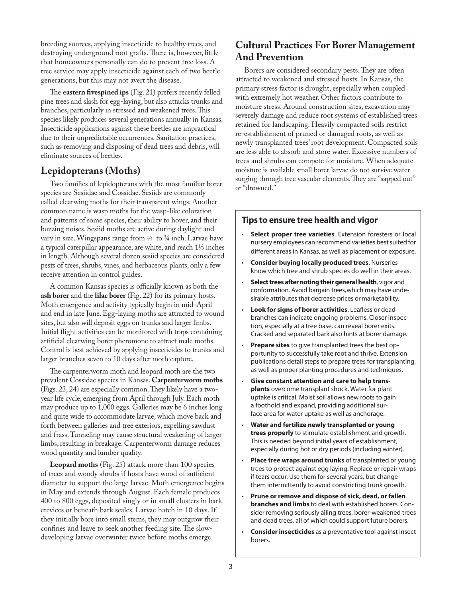breeding sources, applying insecticide to healthy trees, and destroying underground root grafts. There is, however, little that homeowners personally can do to prevent tree loss. A tree service may apply insecticide against each of two beetle generations, but this may not avert the disease.

The **eastern fivespined ips** (Fig. 21) prefers recently felled pine trees and slash for egg-laying, but also attacks trunks and branches, particularly in stressed and weakened trees. This species likely produces several generations annually in Kansas. Insecticide applications against these beetles are impractical due to their unpredictable occurrences. Sanitation practices, such as removing and disposing of dead trees and debris, will eliminate sources of beetles.

### **Lepidopterans (Moths)**

Two families of lepidopterans with the most familiar borer species are Sesiidae and Cossidae. Sesiids are commonly called clearwing moths for their transparent wings. Another common name is wasp moths for the wasp-like coloration and patterns of some species, their ability to hover, and their buzzing noises. Sesiid moths are active during daylight and vary in size. Wingspans range from  $1/5$  to  $3/4$  inch. Larvae have a typical caterpillar appearance, are white, and reach 11/3 inches in length. Although several dozen sesiid species are considered pests of trees, shrubs, vines, and herbaceous plants, only a few receive attention in control guides.

A common Kansas species is officially known as both the **ash borer** and the **lilac borer** (Fig. 22) for its primary hosts. Moth emergence and activity typically begin in mid-April and end in late June. Egg-laying moths are attracted to wound sites, but also will deposit eggs on trunks and larger limbs. Initial flight activities can be monitored with traps containing artificial clearwing borer pheromone to attract male moths. Control is best achieved by applying insecticides to trunks and larger branches seven to 10 days after moth capture.

The carpenterworm moth and leopard moth are the two prevalent Cossidae species in Kansas. **Carpenterworm moths** (Figs. 23, 24) are especially common. They likely have a twoyear life cycle, emerging from April through July. Each moth may produce up to 1,000 eggs. Galleries may be 6 inches long and quite wide to accommodate larvae, which move back and forth between galleries and tree exteriors, expelling sawdust and frass. Tunneling may cause structural weakening of larger limbs, resulting in breakage. Carpenterworm damage reduces wood quantity and lumber quality.

**Leopard moths** (Fig. 25) attack more than 100 species of trees and woody shrubs if hosts have wood of sufficient diameter to support the large larvae. Moth emergence begins in May and extends through August. Each female produces 400 to 800 eggs, deposited singly or in small clusters in bark crevices or beneath bark scales. Larvae hatch in 10 days. If they initially bore into small stems, they may outgrow their confines and leave to seek another feeding site. The slowdeveloping larvae overwinter twice before moths emerge.

# **Cultural Practices For Borer Management And Prevention**

Borers are considered secondary pests. They are often attracted to weakened and stressed hosts. In Kansas, the primary stress factor is drought, especially when coupled with extremely hot weather. Other factors contribute to moisture stress. Around construction sites, excavation may severely damage and reduce root systems of established trees retained for landscaping. Heavily compacted soils restrict re-establishment of pruned or damaged roots, as well as newly transplanted trees' root development. Compacted soils are less able to absorb and store water. Excessive numbers of trees and shrubs can compete for moisture. When adequate moisture is available small borer larvae do not survive water surging through tree vascular elements. They are "sapped out" or "drowned."

### **Tips to ensure tree health and vigor**

- **Select proper tree varieties**. Extension foresters or local nursery employees can recommend varieties best suited for different areas in Kansas, as well as placement or exposure. •
- **Consider buying locally produced trees**. Nurseries know which tree and shrub species do well in their areas. •
- **Select trees after noting their general health**, vigor and conformation. Avoid bargain trees, which may have undesirable attributes that decrease prices or marketability. •
- **Look for signs of borer activities**. Leafless or dead branches can indicate ongoing problems. Closer inspection, especially at a tree base, can reveal borer exits. Cracked and separated bark also hints at borer damage. •
- **Prepare sites** to give transplanted trees the best opportunity to successfully take root and thrive. Extension publications detail steps to prepare trees for transplanting, as well as proper planting procedures and techniques. •
- **Give constant attention and care to help transplants** overcome transplant shock. Water for plant uptake is critical. Moist soil allows new roots to gain a foothold and expand, providing additional surface area for water uptake as well as anchorage. •
- **Water and fertilize newly transplanted or young trees properly** to stimulate establishment and growth. This is needed beyond initial years of establishment, especially during hot or dry periods (including winter). •
- **Place tree wraps around trunks** of transplanted or young trees to protect against egg laying. Replace or repair wraps if tears occur. Use them for several years, but change them intermittently to avoid constricting trunk growth. •
- **Prune or remove and dispose of sick, dead, or fallen branches and limbs** to deal with established borers. Consider removing seriously ailing trees, borer-weakened trees and dead trees, all of which could support future borers. •
- **Consider insecticides** as a preventative tool against insect borers. •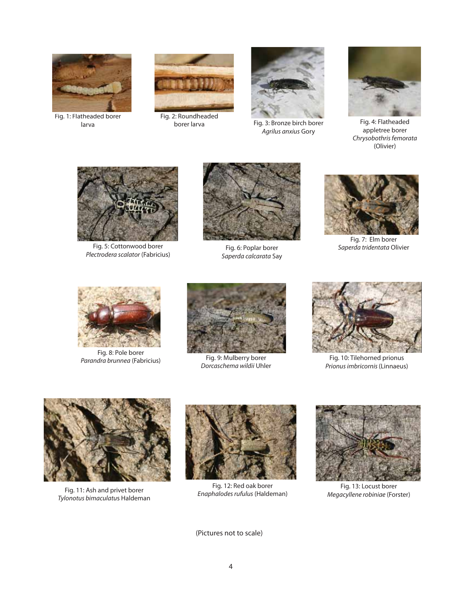

Fig. 1: Flatheaded borer larva



borer larva



Fig. 3: Bronze birch borer *Agrilus anxius* Gory



Fig. 4: Flatheaded appletree borer *Chrysobothris femorata* (Olivier)



Fig. 5: Cottonwood borer *Plectrodera scalator* (Fabricius)



Fig. 6: Poplar borer *Saperda calcarata* Say



Fig. 7: Elm borer *Saperda tridentata* Olivier



Fig. 8: Pole borer *Parandra brunnea* (Fabricius)



Fig. 9: Mulberry borer *Dorcaschema wildii* Uhler



Fig. 10: Tilehorned prionus *Prionus imbricornis*(Linnaeus)



*Tylonotus bimaculatu*s Haldeman



Fig. 12: Red oak borer *Enaphalodes rufulus* (Haldeman) Fig. 11: Ash and privet borer



Fig. 13: Locust borer *Megacyllene robiniae* (Forster)

(Pictures not to scale)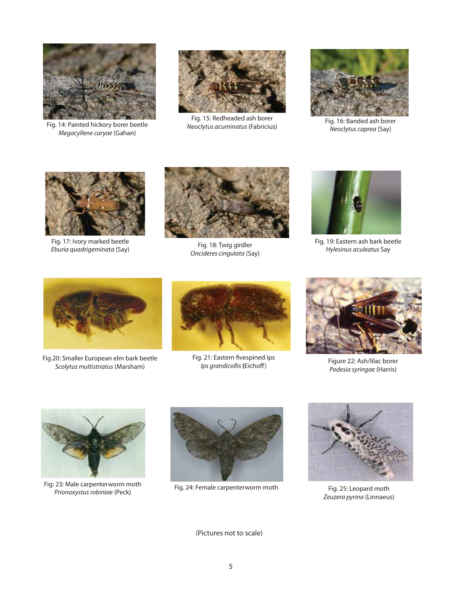

Fig. 14 *Neoclytus acuminatus*(Fabricius) : Painted hickory borer beetle *Megacyllene caryae* (Gahan)



Fig. 15: Redheaded ash borer



Fig. 16: Banded ash borer *Neoclytus caprea* (Say)



Fig. 17: Ivory marked beetle *Eburia quadrigeminata* (Say) Fig. 18: Twig girdler



*Oncideres cingulata* (Say)



Fig. 19: Eastern ash bark beetle *Hylesinus aculeatus* Say



Fig.20: Smaller European elm bark beetle *Scolytus multistriatus* (Marsham) Figure 22: Ash/lilac borer



Fig. 21: Eastern fivespined ips *Ips grandicollis* **(**Eichoff)



*Podesia syringae* (Harris)



Fig: 23: Male carpenterworm moth<br>
Fig. 24: Female carpenterworm moth *Prionoxystus robiniae* (Peck)





Fig. 25: Leopard moth *Zeuzera pyrina* (Linnaeus)

(Pictures not to scale)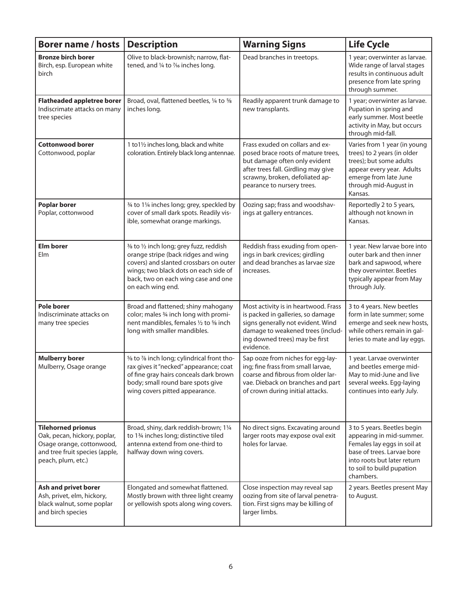| <b>Borer name / hosts</b>                                                                                                                      | <b>Description</b>                                                                                                                                                                                                             | <b>Warning Signs</b>                                                                                                                                                                                           | <b>Life Cycle</b>                                                                                                                                                                             |
|------------------------------------------------------------------------------------------------------------------------------------------------|--------------------------------------------------------------------------------------------------------------------------------------------------------------------------------------------------------------------------------|----------------------------------------------------------------------------------------------------------------------------------------------------------------------------------------------------------------|-----------------------------------------------------------------------------------------------------------------------------------------------------------------------------------------------|
| <b>Bronze birch borer</b><br>Birch, esp. European white<br>birch                                                                               | Olive to black-brownish; narrow, flat-<br>tened, and 1/4 to 7/16 inches long.                                                                                                                                                  | Dead branches in treetops.                                                                                                                                                                                     | 1 year; overwinter as larvae.<br>Wide range of larval stages<br>results in continuous adult<br>presence from late spring<br>through summer.                                                   |
| <b>Flatheaded appletree borer</b><br>Indiscrimate attacks on many<br>tree species                                                              | Broad, oval, flattened beetles, 1/4 to 5/8<br>inches long.                                                                                                                                                                     | Readily apparent trunk damage to<br>new transplants.                                                                                                                                                           | 1 year; overwinter as larvae.<br>Pupation in spring and<br>early summer. Most beetle<br>activity in May, but occurs<br>through mid-fall.                                                      |
| <b>Cottonwood borer</b><br>Cottonwood, poplar                                                                                                  | 1 to 11/2 inches long, black and white<br>coloration. Entirely black long antennae.                                                                                                                                            | Frass exuded on collars and ex-<br>posed brace roots of mature trees,<br>but damage often only evident<br>after trees fall. Girdling may give<br>scrawny, broken, defoliated ap-<br>pearance to nursery trees. | Varies from 1 year (in young<br>trees) to 2 years (in older<br>trees); but some adults<br>appear every year. Adults<br>emerge from late June<br>through mid-August in<br>Kansas.              |
| <b>Poplar borer</b><br>Poplar, cottonwood                                                                                                      | 3/4 to 11/4 inches long; grey, speckled by<br>cover of small dark spots. Readily vis-<br>ible, somewhat orange markings.                                                                                                       | Oozing sap; frass and woodshav-<br>ings at gallery entrances.                                                                                                                                                  | Reportedly 2 to 5 years,<br>although not known in<br>Kansas.                                                                                                                                  |
| <b>Elm borer</b><br>Elm                                                                                                                        | 3/8 to 1/2 inch long; grey fuzz, reddish<br>orange stripe (back ridges and wing<br>covers) and slanted crossbars on outer<br>wings; two black dots on each side of<br>back, two on each wing case and one<br>on each wing end. | Reddish frass exuding from open-<br>ings in bark crevices; girdling<br>and dead branches as larvae size<br>increases.                                                                                          | 1 year. New larvae bore into<br>outer bark and then inner<br>bark and sapwood, where<br>they overwinter. Beetles<br>typically appear from May<br>through July.                                |
| <b>Pole borer</b><br>Indiscriminate attacks on<br>many tree species                                                                            | Broad and flattened; shiny mahogany<br>color; males 3/4 inch long with promi-<br>nent mandibles, females 1/2 to 5% inch<br>long with smaller mandibles.                                                                        | Most activity is in heartwood. Frass<br>is packed in galleries, so damage<br>signs generally not evident. Wind<br>damage to weakened trees (includ-<br>ing downed trees) may be first<br>evidence.             | 3 to 4 years. New beetles<br>form in late summer; some<br>emerge and seek new hosts,<br>while others remain in gal-<br>leries to mate and lay eggs.                                           |
| <b>Mulberry borer</b><br>Mulberry, Osage orange                                                                                                | 5% to 7% inch long; cylindrical front tho-<br>rax gives it "necked" appearance; coat<br>of fine gray hairs conceals dark brown<br>body; small round bare spots give<br>wing covers pitted appearance.                          | Sap ooze from niches for egg-lay-<br>ing; fine frass from small larvae,<br>coarse and fibrous from older lar-<br>vae. Dieback on branches and part<br>of crown during initial attacks.                         | 1 year. Larvae overwinter<br>and beetles emerge mid-<br>May to mid-June and live<br>several weeks. Egg-laying<br>continues into early July.                                                   |
| <b>Tilehorned prionus</b><br>Oak, pecan, hickory, poplar,<br>Osage orange, cottonwood,<br>and tree fruit species (apple,<br>peach, plum, etc.) | Broad, shiny, dark reddish-brown; 11/4<br>to 13/4 inches long; distinctive tiled<br>antenna extend from one-third to<br>halfway down wing covers.                                                                              | No direct signs. Excavating around<br>larger roots may expose oval exit<br>holes for larvae.                                                                                                                   | 3 to 5 years. Beetles begin<br>appearing in mid-summer.<br>Females lay eggs in soil at<br>base of trees. Larvae bore<br>into roots but later return<br>to soil to build pupation<br>chambers. |
| Ash and privet borer<br>Ash, privet, elm, hickory,<br>black walnut, some poplar<br>and birch species                                           | Elongated and somewhat flattened.<br>Mostly brown with three light creamy<br>or yellowish spots along wing covers.                                                                                                             | Close inspection may reveal sap<br>oozing from site of larval penetra-<br>tion. First signs may be killing of<br>larger limbs.                                                                                 | 2 years. Beetles present May<br>to August.                                                                                                                                                    |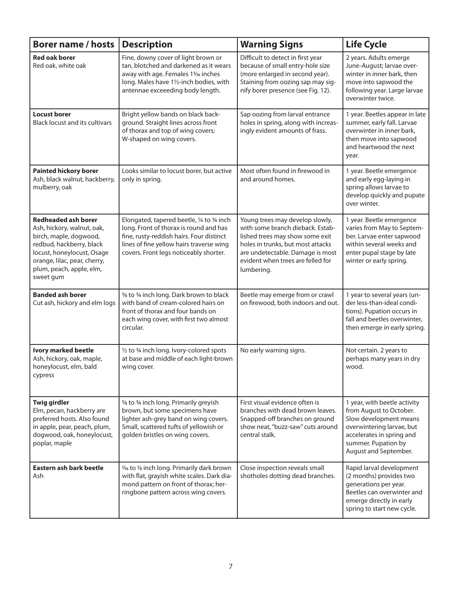| <b>Borer name / hosts</b>                                                                                                                                                                                             | <b>Description</b>                                                                                                                                                                                                     | <b>Warning Signs</b>                                                                                                                                                                                                               | <b>Life Cycle</b>                                                                                                                                                                           |
|-----------------------------------------------------------------------------------------------------------------------------------------------------------------------------------------------------------------------|------------------------------------------------------------------------------------------------------------------------------------------------------------------------------------------------------------------------|------------------------------------------------------------------------------------------------------------------------------------------------------------------------------------------------------------------------------------|---------------------------------------------------------------------------------------------------------------------------------------------------------------------------------------------|
| <b>Red oak borer</b><br>Red oak, white oak                                                                                                                                                                            | Fine, downy cover of light brown or<br>tan, blotched and darkened as it wears<br>away with age. Females 1% inches<br>long. Males have 11/2-inch bodies, with<br>antennae exceeeding body length.                       | Difficult to detect in first year<br>because of small entry-hole size<br>(more enlarged in second year).<br>Staining from oozing sap may sig-<br>nify borer presence (see Fig. 12).                                                | 2 years. Adults emerge<br>June-August; larvae over-<br>winter in inner bark, then<br>move into sapwood the<br>following year. Large larvae<br>overwinter twice.                             |
| <b>Locust borer</b><br><b>Black locust and its cultivars</b>                                                                                                                                                          | Bright yellow bands on black back-<br>ground. Straight lines across front<br>of thorax and top of wing covers;<br>W-shaped on wing covers.                                                                             | Sap oozing from larval entrance<br>holes in spring, along with increas-<br>ingly evident amounts of frass.                                                                                                                         | 1 year. Beetles appear in late<br>summer, early fall. Larvae<br>overwinter in inner bark,<br>then move into sapwood<br>and heartwood the next<br>year.                                      |
| <b>Painted hickory borer</b><br>Ash, black walnut, hackberry,<br>mulberry, oak                                                                                                                                        | Looks similar to locust borer, but active<br>only in spring.                                                                                                                                                           | Most often found in firewood in<br>and around homes.                                                                                                                                                                               | 1 year. Beetle emergence<br>and early egg-laying in<br>spring allows larvae to<br>develop quickly and pupate<br>over winter.                                                                |
| <b>Redheaded ash borer</b><br>Ash, hickory, walnut, oak,<br>birch, maple, dogwood,<br>redbud, hackberry, black<br>locust, honeylocust, Osage<br>orange, lilac, pear, cherry,<br>plum, peach, apple, elm,<br>sweet gum | Elongated, tapered beetle, 1/4 to 3/4 inch<br>long. Front of thorax is round and has<br>fine, rusty-reddish hairs. Four distinct<br>lines of fine yellow hairs traverse wing<br>covers. Front legs noticeably shorter. | Young trees may develop slowly,<br>with some branch dieback. Estab-<br>lished trees may show some exit<br>holes in trunks, but most attacks<br>are undetectable. Damage is most<br>evident when trees are felled for<br>lumbering. | 1 year. Beetle emergence<br>varies from May to Septem-<br>ber. Larvae enter sapwood<br>within several weeks and<br>enter pupal stage by late<br>winter or early spring.                     |
| <b>Banded ash borer</b><br>Cut ash, hickory and elm logs                                                                                                                                                              | 3/8 to 3/4 inch long. Dark brown to black<br>with band of cream-colored hairs on<br>front of thorax and four bands on<br>each wing cover, with first two almost<br>circular.                                           | Beetle may emerge from or crawl<br>on firewood, both indoors and out.                                                                                                                                                              | 1 year to several years (un-<br>der less-than-ideal condi-<br>tions). Pupation occurs in<br>fall and beetles overwinter,<br>then emerge in early spring.                                    |
| Ivory marked beetle<br>Ash, hickory, oak, maple,<br>honeylocust, elm, bald<br>cypress                                                                                                                                 | 1/2 to 3/4 inch long. Ivory-colored spots<br>at base and middle of each light-brown<br>wing cover.                                                                                                                     | No early warning signs.                                                                                                                                                                                                            | Not certain. 2 years to<br>perhaps many years in dry<br>wood.                                                                                                                               |
| <b>Twig girdler</b><br>Elm, pecan, hackberry are<br>preferred hosts. Also found<br>in apple, pear, peach, plum,<br>dogwood, oak, honeylocust,<br>poplar, maple                                                        | 5% to 3⁄4 inch long. Primarily greyish<br>brown, but some specimens have<br>lighter ash-grey band on wing covers.<br>Small, scattered tufts of yellowish or<br>golden bristles on wing covers.                         | First visual evidence often is<br>branches with dead brown leaves.<br>Snapped-off branches on ground<br>show neat, "buzz-saw" cuts around<br>central stalk.                                                                        | 1 year, with beetle activity<br>from August to October.<br>Slow development means<br>overwintering larvae, but<br>accelerates in spring and<br>summer. Pupation by<br>August and September. |
| Eastern ash bark beetle<br>Ash                                                                                                                                                                                        | 1/16 to 1/8 inch long. Primarily dark brown<br>with flat, grayish white scales. Dark dia-<br>mond pattern on front of thorax; her-<br>ringbone pattern across wing covers.                                             | Close inspection reveals small<br>shotholes dotting dead branches.                                                                                                                                                                 | Rapid larval development<br>(2 months) provides two<br>generations per year.<br>Beetles can overwinter and<br>emerge directly in early<br>spring to start new cycle.                        |